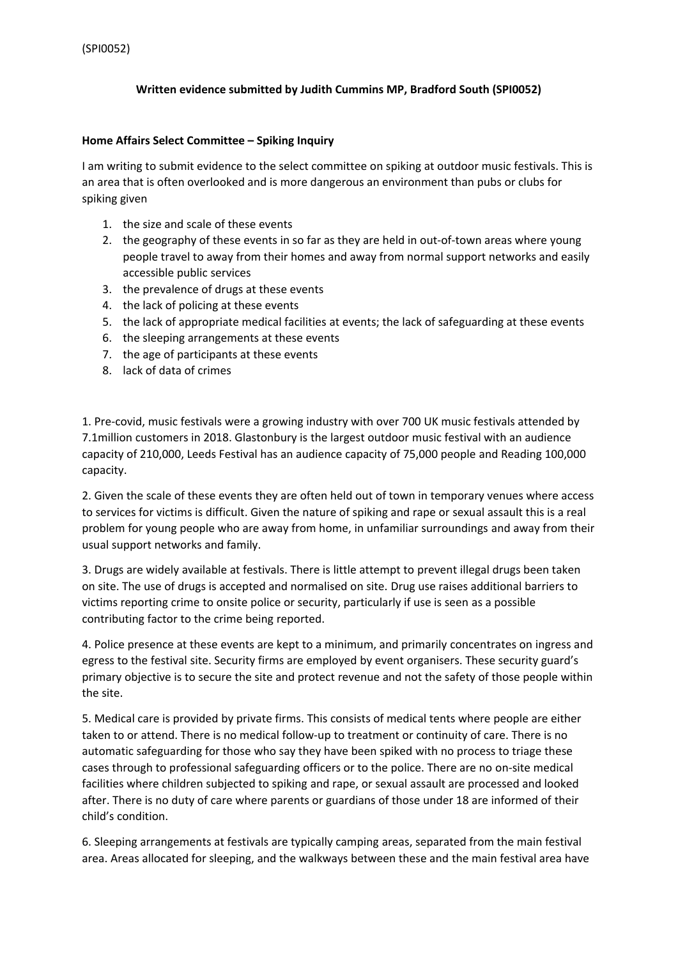## **Written evidence submitted by Judith Cummins MP, Bradford South (SPI0052)**

## **Home Affairs Select Committee – Spiking Inquiry**

I am writing to submit evidence to the select committee on spiking at outdoor music festivals. This is an area that is often overlooked and is more dangerous an environment than pubs or clubs for spiking given

- 1. the size and scale of these events
- 2. the geography of these events in so far as they are held in out-of-town areas where young people travel to away from their homes and away from normal support networks and easily accessible public services
- 3. the prevalence of drugs at these events
- 4. the lack of policing at these events
- 5. the lack of appropriate medical facilities at events; the lack of safeguarding at these events
- 6. the sleeping arrangements at these events
- 7. the age of participants at these events
- 8. lack of data of crimes

1. Pre-covid, music festivals were a growing industry with over 700 UK music festivals attended by 7.1million customers in 2018. Glastonbury is the largest outdoor music festival with an audience capacity of 210,000, Leeds Festival has an audience capacity of 75,000 people and Reading 100,000 capacity.

2. Given the scale of these events they are often held out of town in temporary venues where access to services for victims is difficult. Given the nature of spiking and rape or sexual assault this is a real problem for young people who are away from home, in unfamiliar surroundings and away from their usual support networks and family.

3. Drugs are widely available at festivals. There is little attempt to prevent illegal drugs been taken on site. The use of drugs is accepted and normalised on site. Drug use raises additional barriers to victims reporting crime to onsite police or security, particularly if use is seen as a possible contributing factor to the crime being reported.

4. Police presence at these events are kept to a minimum, and primarily concentrates on ingress and egress to the festival site. Security firms are employed by event organisers. These security guard's primary objective is to secure the site and protect revenue and not the safety of those people within the site.

5. Medical care is provided by private firms. This consists of medical tents where people are either taken to or attend. There is no medical follow-up to treatment or continuity of care. There is no automatic safeguarding for those who say they have been spiked with no process to triage these cases through to professional safeguarding officers or to the police. There are no on-site medical facilities where children subjected to spiking and rape, or sexual assault are processed and looked after. There is no duty of care where parents or guardians of those under 18 are informed of their child's condition.

6. Sleeping arrangements at festivals are typically camping areas, separated from the main festival area. Areas allocated for sleeping, and the walkways between these and the main festival area have